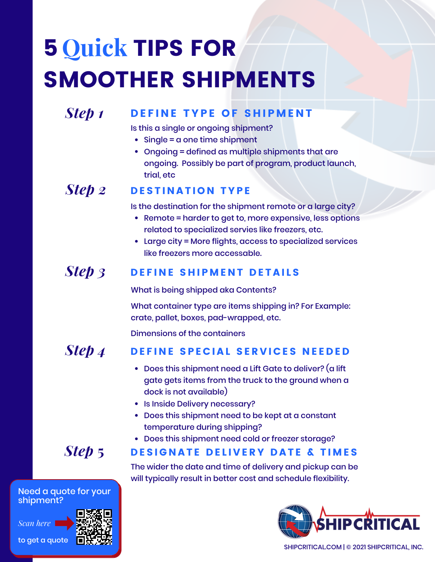# **5 Quick TIPS FOR** SMOOTHER SHIPMENTS

## *Step 1*

## DEFINE TYPE OF SHIPMENT

Is this a single or ongoing shipment?

- Single = a one time shipment
- Ongoing = defined as multiple shipments that are ongoing. Possibly be part of program, product launch, trial, etc

#### DESTINATION TYPE *Step 2*

Is the destination for the shipment remote or a large city?

- Remote = harder to get to, more expensive, less options related to specialized servies like freezers, etc.
- Large city = More flights, access to specialized services like freezers more accessable.

#### DEFINE SHIPMENT DETAILS *Step 3*

What is being shipped aka Contents? What container type are items shipping in? For Example: crate, pallet, boxes, pad-wrapped, etc.

Dimensions of the containers

#### DEFINE SPECIAL SERVICES NEEDED *Step 4*

- $\bullet$  Does this shipment need a Lift Gate to deliver? (a lift gate gets items from the truck to the ground when a dock is not available)
- Is Inside Delivery necessary?
- Does this shipment need to be kept at a constant temperature during shipping?
- Does this shipment need cold or freezer storage?

## *Step* 5 DESIGNATE DELIVERY DATE & TIMES

The wider the date and time of delivery and pickup can be will typically result in better cost and schedule flexibility.



SHIPCRITICAL.COM | © 2021 SHIPCRITICAL, INC.

Need a quote for your shipment?

*Scan here*